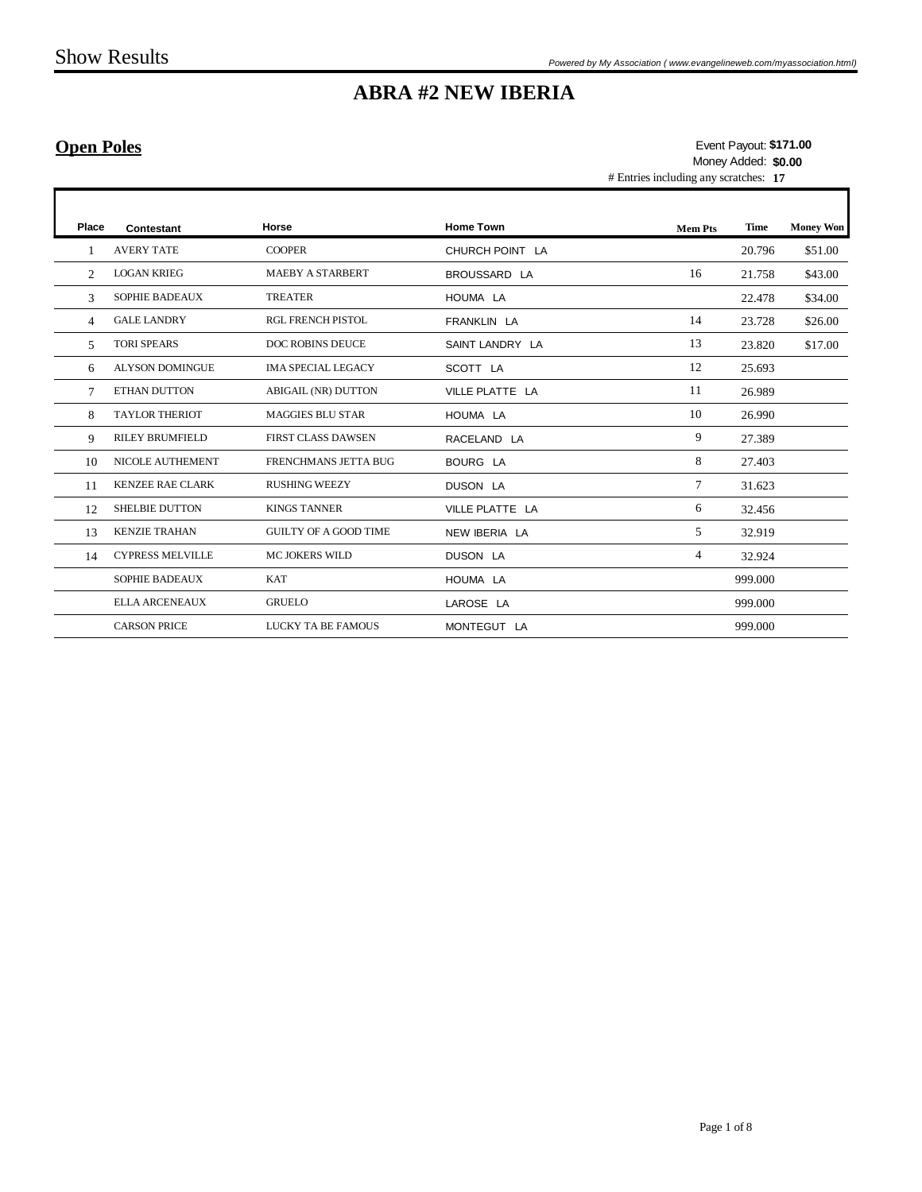### **Open Poles**

# Entries including any scratches: **17 \$171.00** Event Payout: Money Added: **\$0.00**

| Place          | Contestant              | Horse                        | <b>Home Town</b> | <b>Mem Pts</b> | Time    | <b>Money Won</b> |
|----------------|-------------------------|------------------------------|------------------|----------------|---------|------------------|
|                | <b>AVERY TATE</b>       | <b>COOPER</b>                | CHURCH POINT LA  |                | 20.796  | \$51.00          |
| $\mathfrak{D}$ | <b>LOGAN KRIEG</b>      | <b>MAEBY A STARBERT</b>      | BROUSSARD LA     | 16             | 21.758  | \$43.00          |
| 3              | <b>SOPHIE BADEAUX</b>   | <b>TREATER</b>               | HOUMA LA         |                | 22.478  | \$34.00          |
| 4              | <b>GALE LANDRY</b>      | <b>RGL FRENCH PISTOL</b>     | FRANKLIN LA      | 14             | 23.728  | \$26.00          |
| 5.             | <b>TORI SPEARS</b>      | <b>DOC ROBINS DEUCE</b>      | SAINT LANDRY LA  | 13             | 23.820  | \$17.00          |
| 6              | <b>ALYSON DOMINGUE</b>  | <b>IMA SPECIAL LEGACY</b>    | SCOTT LA         | 12             | 25.693  |                  |
| 7              | ETHAN DUTTON            | <b>ABIGAIL (NR) DUTTON</b>   | VILLE PLATTE LA  | 11             | 26.989  |                  |
| 8              | <b>TAYLOR THERIOT</b>   | <b>MAGGIES BLU STAR</b>      | HOUMA LA         | 10             | 26.990  |                  |
| 9              | <b>RILEY BRUMFIELD</b>  | <b>FIRST CLASS DAWSEN</b>    | RACELAND LA      | 9              | 27.389  |                  |
| 10             | NICOLE AUTHEMENT        | FRENCHMANS JETTA BUG         | BOURG LA         | 8              | 27.403  |                  |
| 11             | <b>KENZEE RAE CLARK</b> | <b>RUSHING WEEZY</b>         | DUSON LA         | 7              | 31.623  |                  |
| 12             | <b>SHELBIE DUTTON</b>   | <b>KINGS TANNER</b>          | VILLE PLATTE LA  | 6              | 32.456  |                  |
| 13             | <b>KENZIE TRAHAN</b>    | <b>GUILTY OF A GOOD TIME</b> | NEW IBERIA LA    | 5              | 32.919  |                  |
| 14             | <b>CYPRESS MELVILLE</b> | <b>MC JOKERS WILD</b>        | DUSON LA         | $\overline{4}$ | 32.924  |                  |
|                | <b>SOPHIE BADEAUX</b>   | <b>KAT</b>                   | HOUMA LA         |                | 999.000 |                  |
|                | <b>ELLA ARCENEAUX</b>   | <b>GRUELO</b>                | LAROSE LA        |                | 999.000 |                  |
|                | <b>CARSON PRICE</b>     | LUCKY TA BE FAMOUS           | MONTEGUT LA      |                | 999.000 |                  |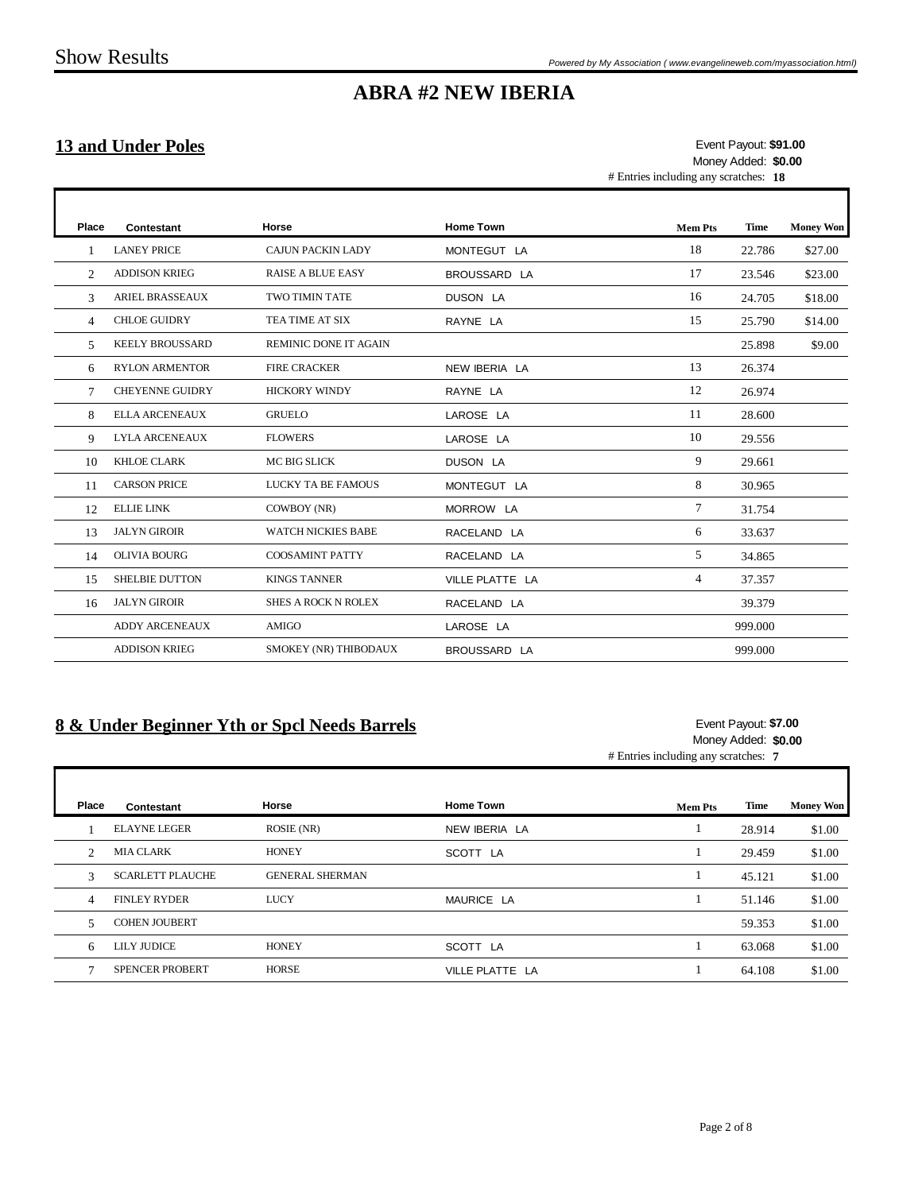### **13 and Under Poles**

 $\mathsf{r}$ 

# Entries including any scratches: **18 \$91.00** Event Payout: Money Added: **\$0.00**

T

| Place          | Contestant             | Horse                      | <b>Home Town</b> | <b>Mem Pts</b> | Time    | <b>Money Won</b> |
|----------------|------------------------|----------------------------|------------------|----------------|---------|------------------|
|                | <b>LANEY PRICE</b>     | <b>CAJUN PACKIN LADY</b>   | MONTEGUT LA      | 18             | 22.786  | \$27.00          |
| 2              | <b>ADDISON KRIEG</b>   | <b>RAISE A BLUE EASY</b>   | BROUSSARD LA     | 17             | 23.546  | \$23.00          |
| 3              | <b>ARIEL BRASSEAUX</b> | <b>TWO TIMIN TATE</b>      | DUSON LA         | 16             | 24.705  | \$18.00          |
| $\overline{4}$ | <b>CHLOE GUIDRY</b>    | TEA TIME AT SIX            | RAYNE LA         | 15             | 25.790  | \$14.00          |
| 5              | <b>KEELY BROUSSARD</b> | REMINIC DONE IT AGAIN      |                  |                | 25.898  | \$9.00           |
| 6              | <b>RYLON ARMENTOR</b>  | <b>FIRE CRACKER</b>        | NEW IBERIA LA    | 13             | 26.374  |                  |
| 7              | <b>CHEYENNE GUIDRY</b> | <b>HICKORY WINDY</b>       | RAYNE LA         | 12             | 26.974  |                  |
| 8              | <b>ELLA ARCENEAUX</b>  | <b>GRUELO</b>              | LAROSE LA        | 11             | 28.600  |                  |
| 9              | <b>LYLA ARCENEAUX</b>  | <b>FLOWERS</b>             | LAROSE LA        | 10             | 29.556  |                  |
| 10             | <b>KHLOE CLARK</b>     | MC BIG SLICK               | DUSON LA         | 9              | 29.661  |                  |
| 11             | <b>CARSON PRICE</b>    | LUCKY TA BE FAMOUS         | MONTEGUT LA      | 8              | 30.965  |                  |
| 12             | <b>ELLIE LINK</b>      | COWBOY (NR)                | MORROW LA        | 7              | 31.754  |                  |
| 13             | <b>JALYN GIROIR</b>    | <b>WATCH NICKIES BABE</b>  | RACELAND LA      | 6              | 33.637  |                  |
| 14             | <b>OLIVIA BOURG</b>    | <b>COOSAMINT PATTY</b>     | RACELAND LA      | 5              | 34.865  |                  |
| 15             | <b>SHELBIE DUTTON</b>  | <b>KINGS TANNER</b>        | VILLE PLATTE LA  | 4              | 37.357  |                  |
| 16             | <b>JALYN GIROIR</b>    | <b>SHES A ROCK N ROLEX</b> | RACELAND LA      |                | 39.379  |                  |
|                | <b>ADDY ARCENEAUX</b>  | <b>AMIGO</b>               | LAROSE LA        |                | 999.000 |                  |
|                | <b>ADDISON KRIEG</b>   | SMOKEY (NR) THIBODAUX      | BROUSSARD LA     |                | 999.000 |                  |
|                |                        |                            |                  |                |         |                  |

#### **8 & Under Beginner Yth or Spcl Needs Barrels**

#### # Entries including any scratches: **7 \$7.00** Event Payout: Money Added: **\$0.00**

| Place          | Contestant              | Horse                  | <b>Home Town</b> | <b>Mem Pts</b> | Time   | <b>Money Won</b> |
|----------------|-------------------------|------------------------|------------------|----------------|--------|------------------|
|                | <b>ELAYNE LEGER</b>     | ROSIE (NR)             | NEW IBERIA LA    |                | 28.914 | \$1.00           |
| $\mathfrak{D}$ | <b>MIA CLARK</b>        | <b>HONEY</b>           | SCOTT LA         |                | 29.459 | \$1.00           |
| 3              | <b>SCARLETT PLAUCHE</b> | <b>GENERAL SHERMAN</b> |                  |                | 45.121 | \$1.00           |
| $\overline{4}$ | <b>FINLEY RYDER</b>     | <b>LUCY</b>            | MAURICE LA       |                | 51.146 | \$1.00           |
| 5              | <b>COHEN JOUBERT</b>    |                        |                  |                | 59.353 | \$1.00           |
| 6              | <b>LILY JUDICE</b>      | <b>HONEY</b>           | SCOTT LA         | $\mathbf 1$    | 63.068 | \$1.00           |
|                | <b>SPENCER PROBERT</b>  | <b>HORSE</b>           | VILLE PLATTE LA  |                | 64.108 | \$1.00           |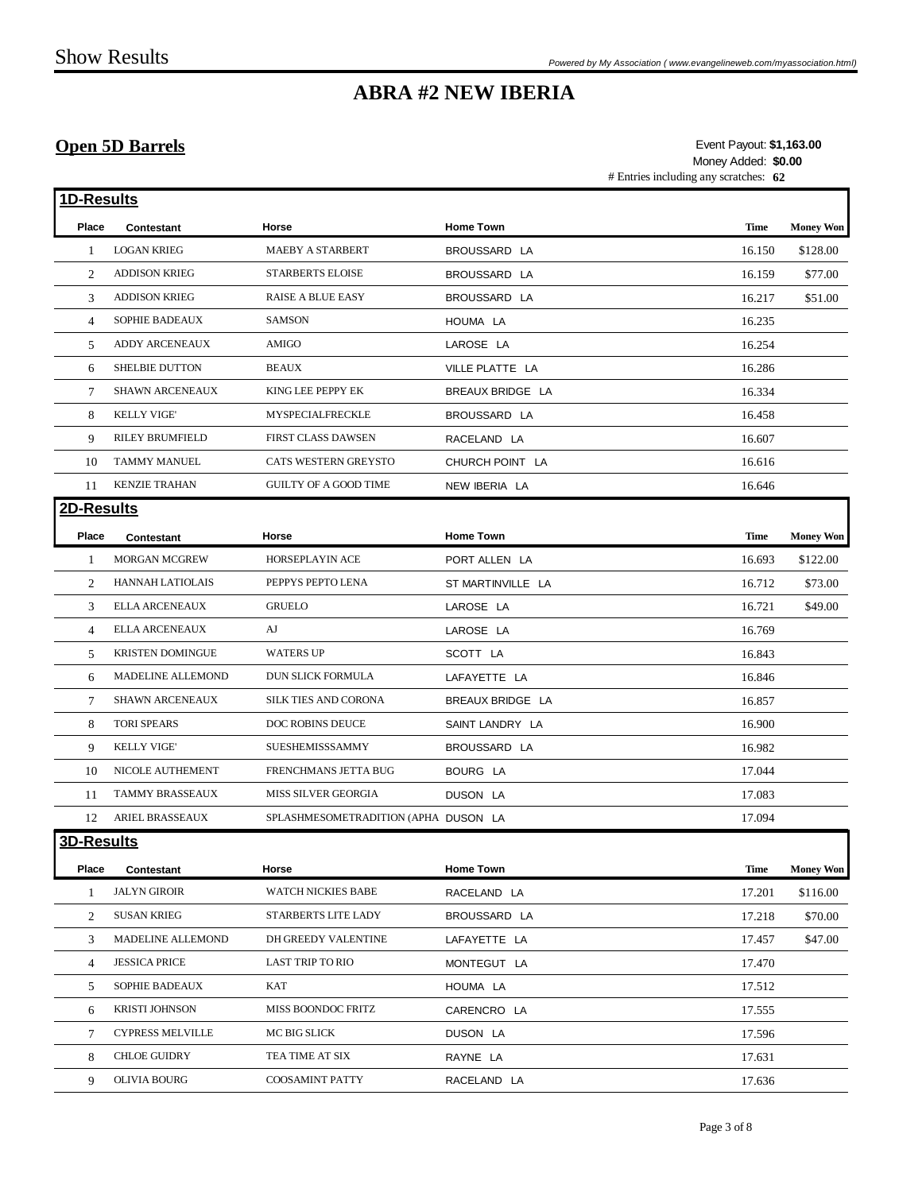### **Open 5D Barrels**

# Entries including any scratches: **62 \$1,163.00** Event Payout: Money Added: **\$0.00**

| 1D-Results        |                          |                                      |                   |             |                  |
|-------------------|--------------------------|--------------------------------------|-------------------|-------------|------------------|
| Place             | Contestant               | Horse                                | <b>Home Town</b>  | <b>Time</b> | <b>Money Won</b> |
| -1                | <b>LOGAN KRIEG</b>       | MAEBY A STARBERT                     | BROUSSARD LA      | 16.150      | \$128.00         |
| 2                 | <b>ADDISON KRIEG</b>     | <b>STARBERTS ELOISE</b>              | BROUSSARD LA      | 16.159      | \$77.00          |
| 3                 | <b>ADDISON KRIEG</b>     | <b>RAISE A BLUE EASY</b>             | BROUSSARD LA      | 16.217      | \$51.00          |
| $\overline{4}$    | SOPHIE BADEAUX           | <b>SAMSON</b>                        | HOUMA LA          | 16.235      |                  |
| 5                 | ADDY ARCENEAUX           | AMIGO                                | LAROSE LA         | 16.254      |                  |
| 6                 | <b>SHELBIE DUTTON</b>    | <b>BEAUX</b>                         | VILLE PLATTE LA   | 16.286      |                  |
| 7                 | <b>SHAWN ARCENEAUX</b>   | KING LEE PEPPY EK                    | BREAUX BRIDGE LA  | 16.334      |                  |
| 8                 | <b>KELLY VIGE'</b>       | <b>MYSPECIALFRECKLE</b>              | BROUSSARD LA      | 16.458      |                  |
| 9                 | RILEY BRUMFIELD          | FIRST CLASS DAWSEN                   | RACELAND LA       | 16.607      |                  |
| 10                | <b>TAMMY MANUEL</b>      | CATS WESTERN GREYSTO                 | CHURCH POINT LA   | 16.616      |                  |
| 11                | <b>KENZIE TRAHAN</b>     | <b>GUILTY OF A GOOD TIME</b>         | NEW IBERIA LA     | 16.646      |                  |
| 2D-Results        |                          |                                      |                   |             |                  |
| Place             | Contestant               | Horse                                | <b>Home Town</b>  | <b>Time</b> | <b>Money Won</b> |
| $\mathbf{1}$      | <b>MORGAN MCGREW</b>     | HORSEPLAYIN ACE                      | PORT ALLEN LA     | 16.693      | \$122.00         |
| 2                 | <b>HANNAH LATIOLAIS</b>  | PEPPYS PEPTO LENA                    | ST MARTINVILLE LA | 16.712      | \$73.00          |
| 3                 | <b>ELLA ARCENEAUX</b>    | <b>GRUELO</b>                        | LAROSE LA         | 16.721      | \$49.00          |
| $\overline{4}$    | <b>ELLA ARCENEAUX</b>    | AJ                                   | LAROSE LA         | 16.769      |                  |
| 5                 | KRISTEN DOMINGUE         | <b>WATERS UP</b>                     | SCOTT LA          | 16.843      |                  |
| 6                 | <b>MADELINE ALLEMOND</b> | DUN SLICK FORMULA                    | LAFAYETTE LA      | 16.846      |                  |
| 7                 | SHAWN ARCENEAUX          | <b>SILK TIES AND CORONA</b>          | BREAUX BRIDGE LA  | 16.857      |                  |
| 8                 | <b>TORI SPEARS</b>       | DOC ROBINS DEUCE                     | SAINT LANDRY LA   | 16.900      |                  |
| 9                 | <b>KELLY VIGE'</b>       | SUESHEMISSSAMMY                      | BROUSSARD LA      | 16.982      |                  |
| 10                | NICOLE AUTHEMENT         | FRENCHMANS JETTA BUG                 | BOURG LA          | 17.044      |                  |
| 11                | TAMMY BRASSEAUX          | MISS SILVER GEORGIA                  | DUSON LA          | 17.083      |                  |
| 12                | ARIEL BRASSEAUX          | SPLASHMESOMETRADITION (APHA DUSON LA |                   | 17.094      |                  |
| <b>3D-Results</b> |                          |                                      |                   |             |                  |
| Place             | Contestant               | Horse                                | <b>Home Town</b>  | Time        | <b>Money Won</b> |
| 1                 | <b>JALYN GIROIR</b>      | <b>WATCH NICKIES BABE</b>            | RACELAND LA       | 17.201      | \$116.00         |
| 2                 | <b>SUSAN KRIEG</b>       | STARBERTS LITE LADY                  | BROUSSARD LA      | 17.218      | \$70.00          |
| 3                 | MADELINE ALLEMOND        | DH GREEDY VALENTINE                  | LAFAYETTE LA      | 17.457      | \$47.00          |
| 4                 | <b>JESSICA PRICE</b>     | LAST TRIP TO RIO                     | MONTEGUT LA       | 17.470      |                  |
| 5                 | <b>SOPHIE BADEAUX</b>    | <b>KAT</b>                           | HOUMA LA          | 17.512      |                  |
| 6                 | <b>KRISTI JOHNSON</b>    | MISS BOONDOC FRITZ                   | CARENCRO LA       | 17.555      |                  |
| 7                 | <b>CYPRESS MELVILLE</b>  | MC BIG SLICK                         | DUSON LA          | 17.596      |                  |
| 8                 | <b>CHLOE GUIDRY</b>      | TEA TIME AT SIX                      | RAYNE LA          | 17.631      |                  |
| 9                 | <b>OLIVIA BOURG</b>      | COOSAMINT PATTY                      | RACELAND LA       | 17.636      |                  |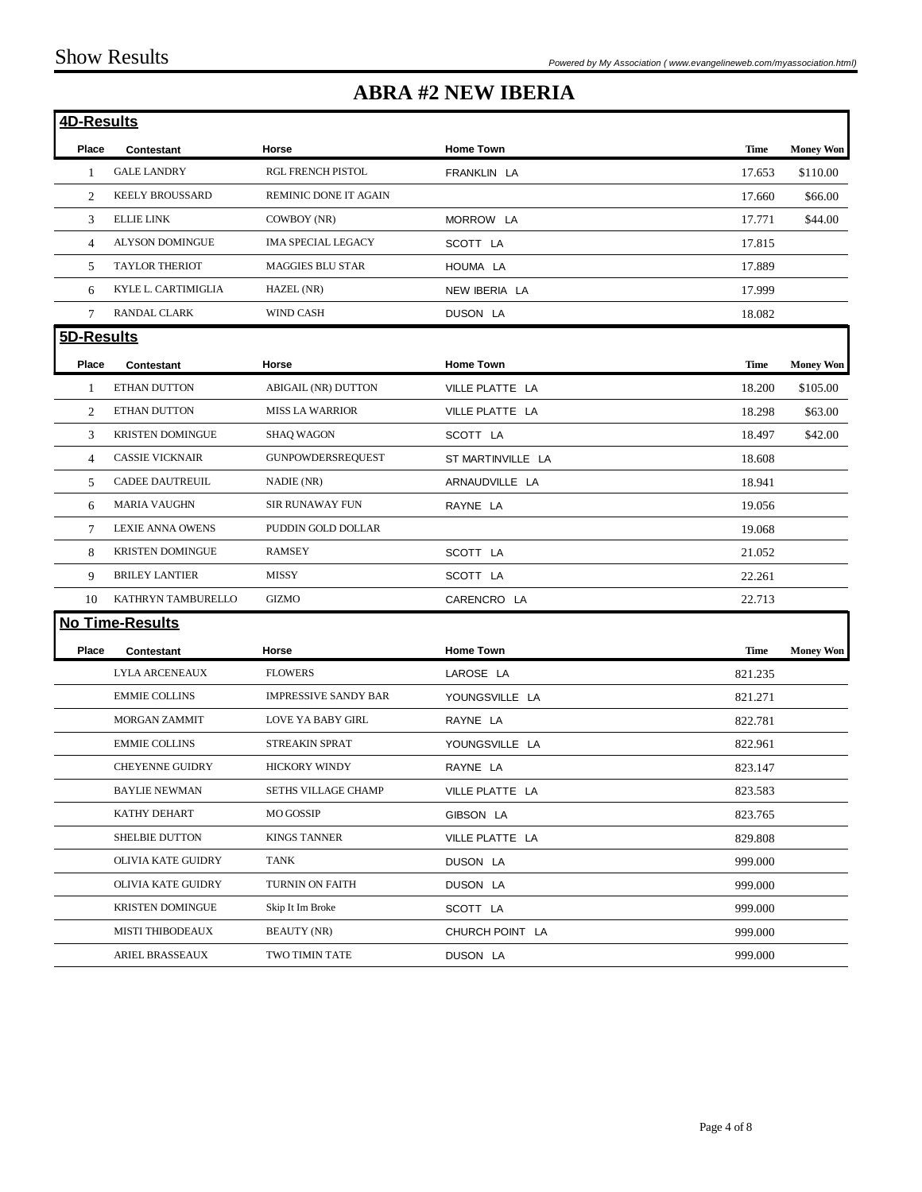| 4D-Results |                         |                             |                   |             |                  |
|------------|-------------------------|-----------------------------|-------------------|-------------|------------------|
| Place      | <b>Contestant</b>       | Horse                       | <b>Home Town</b>  | <b>Time</b> | <b>Money Won</b> |
| 1          | <b>GALE LANDRY</b>      | RGL FRENCH PISTOL           | FRANKLIN LA       | 17.653      | \$110.00         |
| 2          | <b>KEELY BROUSSARD</b>  | REMINIC DONE IT AGAIN       |                   | 17.660      | \$66.00          |
| 3          | <b>ELLIE LINK</b>       | COWBOY (NR)                 | MORROW LA         | 17.771      | \$44.00          |
| 4          | <b>ALYSON DOMINGUE</b>  | <b>IMA SPECIAL LEGACY</b>   | SCOTT LA          | 17.815      |                  |
| 5          | <b>TAYLOR THERIOT</b>   | <b>MAGGIES BLU STAR</b>     | HOUMA LA          | 17.889      |                  |
| 6          | KYLE L. CARTIMIGLIA     | HAZEL (NR)                  | NEW IBERIA LA     | 17.999      |                  |
| $\tau$     | RANDAL CLARK            | <b>WIND CASH</b>            | DUSON LA          | 18.082      |                  |
| 5D-Results |                         |                             |                   |             |                  |
| Place      | Contestant              | Horse                       | <b>Home Town</b>  | <b>Time</b> | <b>Money Won</b> |
| 1          | ETHAN DUTTON            | <b>ABIGAIL (NR) DUTTON</b>  | VILLE PLATTE LA   | 18.200      | \$105.00         |
| 2          | ETHAN DUTTON            | <b>MISS LA WARRIOR</b>      | VILLE PLATTE LA   | 18.298      | \$63.00          |
| 3          | <b>KRISTEN DOMINGUE</b> | <b>SHAQ WAGON</b>           | SCOTT LA          | 18.497      | \$42.00          |
| 4          | <b>CASSIE VICKNAIR</b>  | <b>GUNPOWDERSREQUEST</b>    | ST MARTINVILLE LA | 18.608      |                  |
| 5          | <b>CADEE DAUTREUIL</b>  | NADIE (NR)                  | ARNAUDVILLE LA    | 18.941      |                  |
| 6          | <b>MARIA VAUGHN</b>     | <b>SIR RUNAWAY FUN</b>      | RAYNE LA          | 19.056      |                  |
| 7          | <b>LEXIE ANNA OWENS</b> | PUDDIN GOLD DOLLAR          |                   | 19.068      |                  |
| 8          | <b>KRISTEN DOMINGUE</b> | <b>RAMSEY</b>               | SCOTT LA          | 21.052      |                  |
| 9          | <b>BRILEY LANTIER</b>   | <b>MISSY</b>                | SCOTT LA          | 22.261      |                  |
| 10         | KATHRYN TAMBURELLO      | <b>GIZMO</b>                | CARENCRO LA       | 22.713      |                  |
|            | <b>No Time-Results</b>  |                             |                   |             |                  |
| Place      | Contestant              | Horse                       | <b>Home Town</b>  | <b>Time</b> | <b>Money Won</b> |
|            | <b>LYLA ARCENEAUX</b>   | <b>FLOWERS</b>              | LAROSE LA         | 821.235     |                  |
|            | <b>EMMIE COLLINS</b>    | <b>IMPRESSIVE SANDY BAR</b> | YOUNGSVILLE LA    | 821.271     |                  |
|            | <b>MORGAN ZAMMIT</b>    | <b>LOVE YA BABY GIRL</b>    | RAYNE LA          | 822.781     |                  |
|            | <b>EMMIE COLLINS</b>    | <b>STREAKIN SPRAT</b>       | YOUNGSVILLE LA    | 822.961     |                  |
|            | <b>CHEYENNE GUIDRY</b>  | <b>HICKORY WINDY</b>        | RAYNE LA          | 823.147     |                  |
|            | <b>BAYLIE NEWMAN</b>    | SETHS VILLAGE CHAMP         | VILLE PLATTE LA   | 823.583     |                  |
|            | KATHY DEHART            | <b>MO GOSSIP</b>            | GIBSON LA         | 823.765     |                  |
|            | SHELBIE DUTTON          | <b>KINGS TANNER</b>         | VILLE PLATTE LA   | 829.808     |                  |
|            | OLIVIA KATE GUIDRY      | TANK                        | DUSON LA          | 999.000     |                  |
|            | OLIVIA KATE GUIDRY      | TURNIN ON FAITH             | DUSON LA          | 999.000     |                  |
|            | <b>KRISTEN DOMINGUE</b> | Skip It Im Broke            | SCOTT LA          | 999.000     |                  |
|            | MISTI THIBODEAUX        | <b>BEAUTY (NR)</b>          | CHURCH POINT LA   | 999.000     |                  |
|            | ARIEL BRASSEAUX         | TWO TIMIN TATE              | DUSON LA          | 999.000     |                  |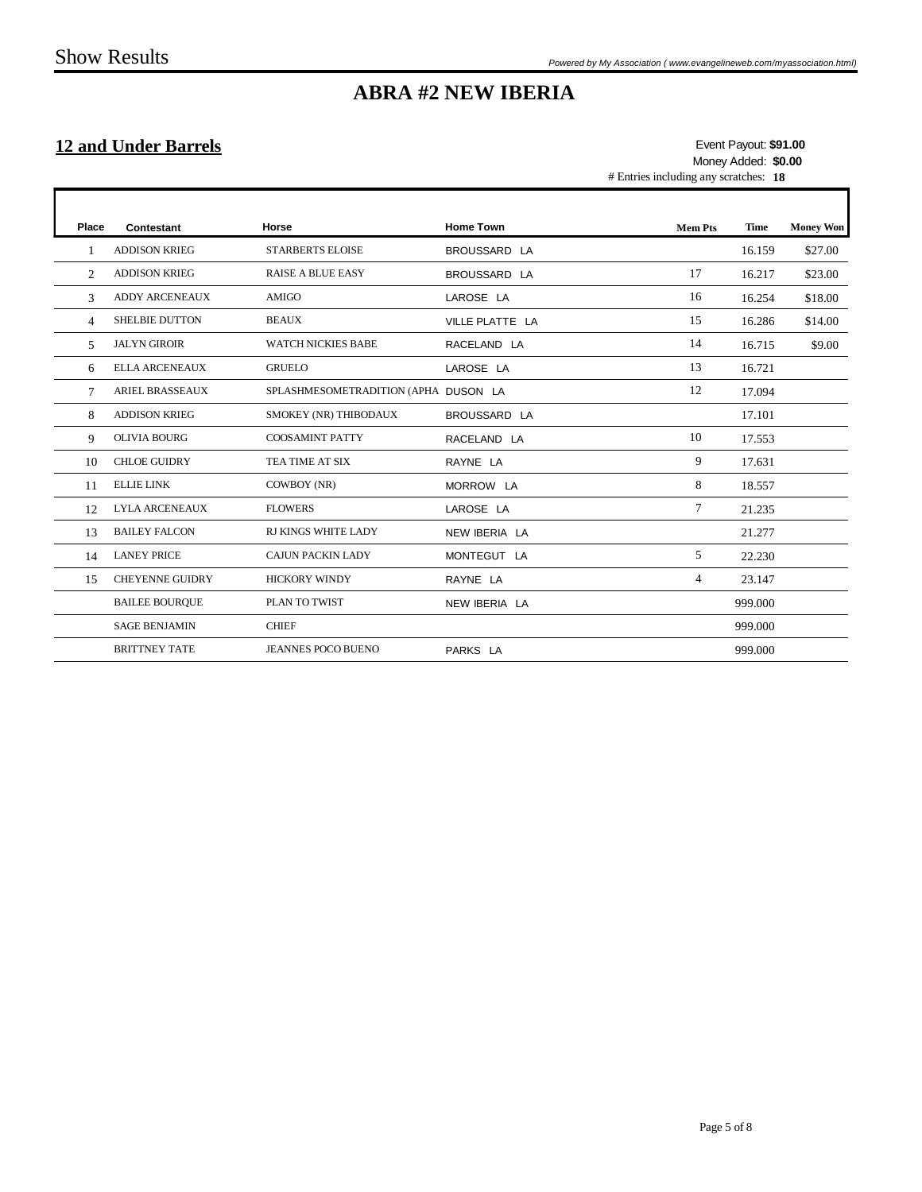$\Gamma$ 

# **ABRA #2 NEW IBERIA**

### **12 and Under Barrels**

# Entries including any scratches: **18 \$91.00** Event Payout: Money Added: **\$0.00**

1

| Place        | Contestant             | Horse                                | <b>Home Town</b> | <b>Mem Pts</b> | <b>Time</b> | <b>Money Won</b> |
|--------------|------------------------|--------------------------------------|------------------|----------------|-------------|------------------|
| $\mathbf{1}$ | <b>ADDISON KRIEG</b>   | <b>STARBERTS ELOISE</b>              | BROUSSARD LA     |                | 16.159      | \$27.00          |
| 2            | <b>ADDISON KRIEG</b>   | <b>RAISE A BLUE EASY</b>             | BROUSSARD LA     | 17             | 16.217      | \$23.00          |
| 3            | <b>ADDY ARCENEAUX</b>  | <b>AMIGO</b>                         | LAROSE LA        | 16             | 16.254      | \$18.00          |
| 4            | <b>SHELBIE DUTTON</b>  | <b>BEAUX</b>                         | VILLE PLATTE LA  | 15             | 16.286      | \$14.00          |
| 5            | <b>JALYN GIROIR</b>    | <b>WATCH NICKIES BABE</b>            | RACELAND LA      | 14             | 16.715      | \$9.00           |
| 6            | ELLA ARCENEAUX         | <b>GRUELO</b>                        | LAROSE LA        | 13             | 16.721      |                  |
| 7            | <b>ARIEL BRASSEAUX</b> | SPLASHMESOMETRADITION (APHA DUSON LA |                  | 12             | 17.094      |                  |
| 8            | <b>ADDISON KRIEG</b>   | SMOKEY (NR) THIBODAUX                | BROUSSARD LA     |                | 17.101      |                  |
| 9            | <b>OLIVIA BOURG</b>    | <b>COOSAMINT PATTY</b>               | RACELAND LA      | 10             | 17.553      |                  |
| 10           | <b>CHLOE GUIDRY</b>    | TEA TIME AT SIX                      | RAYNE LA         | 9              | 17.631      |                  |
| 11           | <b>ELLIE LINK</b>      | COWBOY (NR)                          | MORROW LA        | 8              | 18.557      |                  |
| 12           | <b>LYLA ARCENEAUX</b>  | <b>FLOWERS</b>                       | LAROSE LA        | $\tau$         | 21.235      |                  |
| 13           | <b>BAILEY FALCON</b>   | RJ KINGS WHITE LADY                  | NEW IBERIA LA    |                | 21.277      |                  |
| 14           | <b>LANEY PRICE</b>     | <b>CAJUN PACKIN LADY</b>             | MONTEGUT LA      | 5              | 22.230      |                  |
| 15           | <b>CHEYENNE GUIDRY</b> | <b>HICKORY WINDY</b>                 | RAYNE LA         | 4              | 23.147      |                  |
|              | <b>BAILEE BOURQUE</b>  | PLAN TO TWIST                        | NEW IBERIA LA    |                | 999.000     |                  |
|              | <b>SAGE BENJAMIN</b>   | <b>CHIEF</b>                         |                  |                | 999.000     |                  |
|              | <b>BRITTNEY TATE</b>   | <b>JEANNES POCO BUENO</b>            | PARKS LA         |                | 999.000     |                  |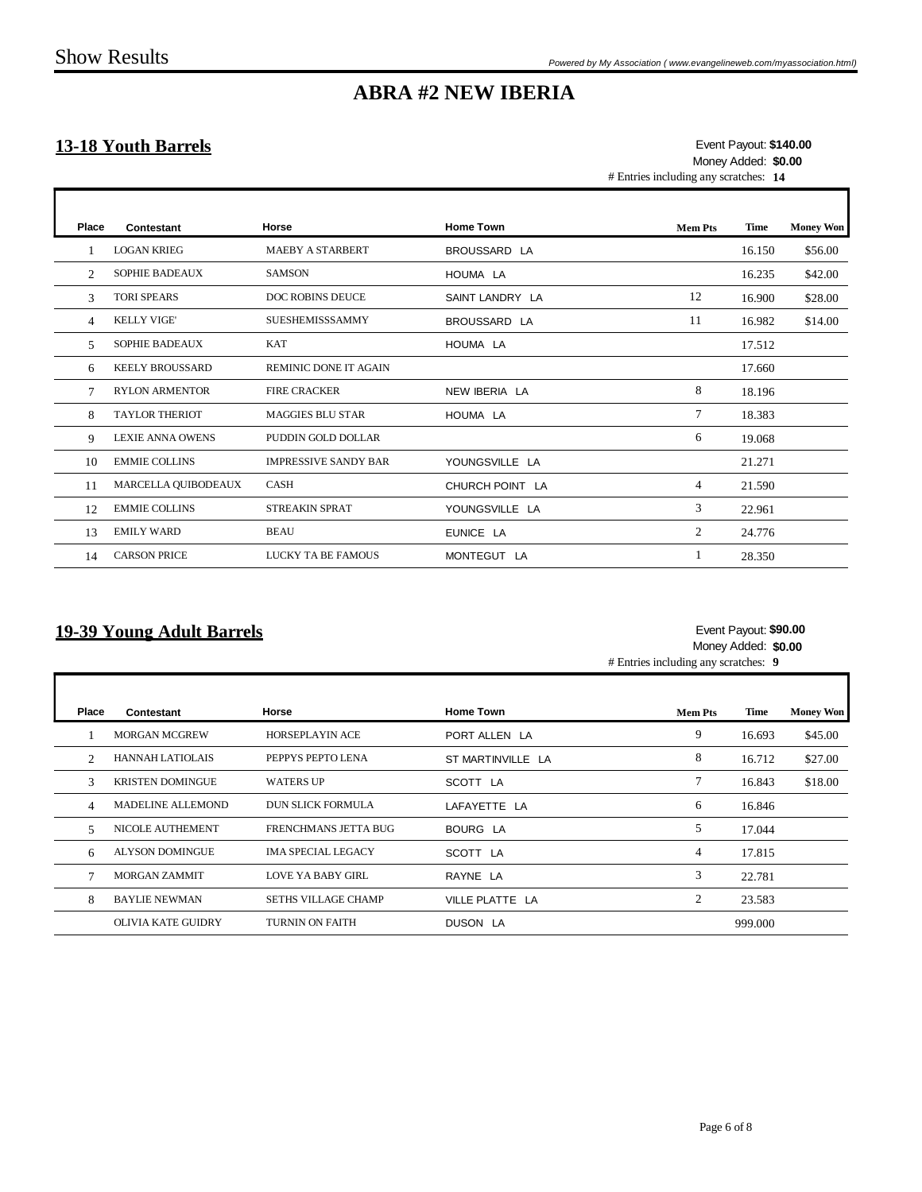Г

Г

## **ABRA #2 NEW IBERIA**

### **13-18 Youth Barrels**

# Entries including any scratches: **14 \$140.00** Event Payout: Money Added: **\$0.00**

| Place | Contestant              | Horse                       | <b>Home Town</b> | <b>Mem Pts</b> | Time   | <b>Money Won</b> |
|-------|-------------------------|-----------------------------|------------------|----------------|--------|------------------|
|       | <b>LOGAN KRIEG</b>      | <b>MAEBY A STARBERT</b>     | BROUSSARD LA     |                | 16.150 | \$56.00          |
| 2     | <b>SOPHIE BADEAUX</b>   | <b>SAMSON</b>               | HOUMA LA         |                | 16.235 | \$42.00          |
| 3     | <b>TORI SPEARS</b>      | <b>DOC ROBINS DEUCE</b>     | SAINT LANDRY LA  | 12             | 16.900 | \$28.00          |
| 4     | <b>KELLY VIGE'</b>      | <b>SUESHEMISSSAMMY</b>      | BROUSSARD LA     | 11             | 16.982 | \$14.00          |
| 5     | <b>SOPHIE BADEAUX</b>   | <b>KAT</b>                  | HOUMA LA         |                | 17.512 |                  |
| 6     | <b>KEELY BROUSSARD</b>  | REMINIC DONE IT AGAIN       |                  |                | 17.660 |                  |
| 7     | <b>RYLON ARMENTOR</b>   | <b>FIRE CRACKER</b>         | NEW IBERIA LA    | 8              | 18.196 |                  |
| 8     | <b>TAYLOR THERIOT</b>   | <b>MAGGIES BLU STAR</b>     | HOUMA LA         | $\overline{7}$ | 18.383 |                  |
| 9     | <b>LEXIE ANNA OWENS</b> | PUDDIN GOLD DOLLAR          |                  | 6              | 19.068 |                  |
| 10    | <b>EMMIE COLLINS</b>    | <b>IMPRESSIVE SANDY BAR</b> | YOUNGSVILLE LA   |                | 21.271 |                  |
| 11    | MARCELLA QUIBODEAUX     | <b>CASH</b>                 | CHURCH POINT LA  | 4              | 21.590 |                  |
| 12    | <b>EMMIE COLLINS</b>    | <b>STREAKIN SPRAT</b>       | YOUNGSVILLE LA   | 3              | 22.961 |                  |
| 13    | <b>EMILY WARD</b>       | <b>BEAU</b>                 | EUNICE LA        | 2              | 24.776 |                  |
| 14    | <b>CARSON PRICE</b>     | LUCKY TA BE FAMOUS          | MONTEGUT LA      |                | 28.350 |                  |

#### **19-39 Young Adult Barrels**

#### **\$90.00** Event Payout: Money Added: **\$0.00**

٦

# Entries including any scratches: **9**

| Place          | Contestant                | Horse                      | <b>Home Town</b>  | <b>Mem Pts</b> | Time    | <b>Money Won</b> |
|----------------|---------------------------|----------------------------|-------------------|----------------|---------|------------------|
|                | <b>MORGAN MCGREW</b>      | <b>HORSEPLAYIN ACE</b>     | PORT ALLEN LA     | 9              | 16.693  | \$45.00          |
| $\mathfrak{D}$ | HANNAH LATIOLAIS          | PEPPYS PEPTO LENA          | ST MARTINVILLE LA | 8              | 16.712  | \$27.00          |
| $\mathcal{R}$  | <b>KRISTEN DOMINGUE</b>   | <b>WATERS UP</b>           | SCOTT LA          |                | 16.843  | \$18.00          |
| 4              | MADELINE ALLEMOND         | <b>DUN SLICK FORMULA</b>   | LAFAYETTE LA      | 6              | 16.846  |                  |
| 5              | <b>NICOLE AUTHEMENT</b>   | FRENCHMANS JETTA BUG       | BOURG LA          | 5              | 17.044  |                  |
| 6              | <b>ALYSON DOMINGUE</b>    | <b>IMA SPECIAL LEGACY</b>  | SCOTT LA          | 4              | 17.815  |                  |
|                | <b>MORGAN ZAMMIT</b>      | <b>LOVE YA BABY GIRL</b>   | RAYNE LA          | 3              | 22.781  |                  |
| 8              | <b>BAYLIE NEWMAN</b>      | <b>SETHS VILLAGE CHAMP</b> | VILLE PLATTE LA   | 2              | 23.583  |                  |
|                | <b>OLIVIA KATE GUIDRY</b> | <b>TURNIN ON FAITH</b>     | DUSON LA          |                | 999.000 |                  |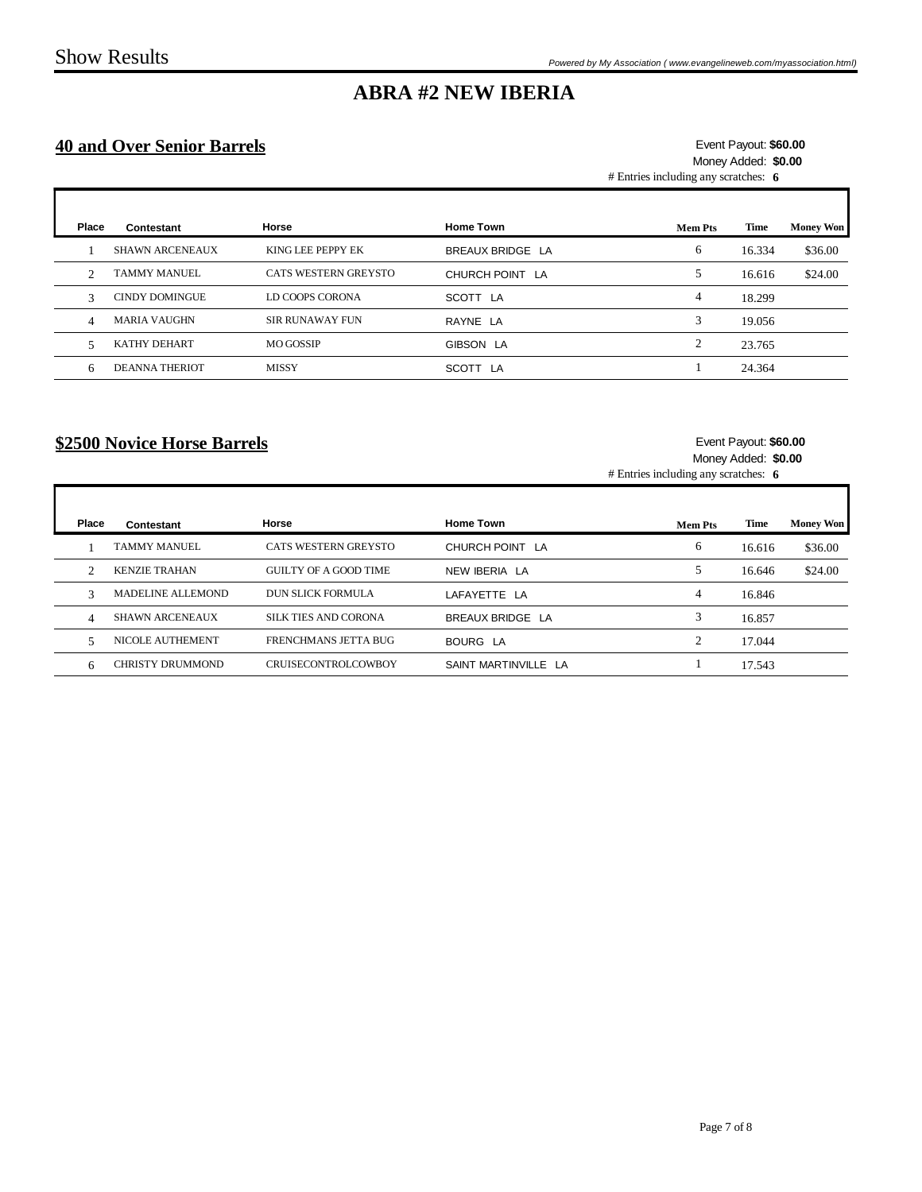Г

## **ABRA #2 NEW IBERIA**

### **40 and Over Senior Barrels**

# Entries including any scratches: **6 \$60.00** Event Payout: Money Added: **\$0.00**

| Place         | Contestant             | Horse                  | <b>Home Town</b> | Mem Pts | Time   | <b>Money Won</b> |
|---------------|------------------------|------------------------|------------------|---------|--------|------------------|
|               | <b>SHAWN ARCENEAUX</b> | KING LEE PEPPY EK      | BREAUX BRIDGE LA | 6       | 16.334 | \$36.00          |
| 2             | <b>TAMMY MANUEL</b>    | CATS WESTERN GREYSTO   | CHURCH POINT LA  | 5       | 16.616 | \$24.00          |
| $\mathcal{R}$ | <b>CINDY DOMINGUE</b>  | LD COOPS CORONA        | SCOTT LA         | 4       | 18.299 |                  |
| 4             | <b>MARIA VAUGHN</b>    | <b>SIR RUNAWAY FUN</b> | RAYNE LA         | 3       | 19.056 |                  |
| 5             | KATHY DEHART           | <b>MO GOSSIP</b>       | GIBSON LA        | ◠       | 23.765 |                  |
| 6             | <b>DEANNA THERIOT</b>  | <b>MISSY</b>           | SCOTT LA         |         | 24.364 |                  |

### **\$2500 Novice Horse Barrels**

#### **\$60.00** Event Payout: Money Added: **\$0.00**

Ŧ

# Entries including any scratches: **6**

| Place          | Contestant              | <b>Horse</b>               | <b>Home Town</b>     | <b>Mem Pts</b> | Time   | <b>Money Won</b> |
|----------------|-------------------------|----------------------------|----------------------|----------------|--------|------------------|
|                | <b>TAMMY MANUEL</b>     | CATS WESTERN GREYSTO       | CHURCH POINT LA      | 6              | 16.616 | \$36.00          |
| $\mathfrak{D}$ | <b>KENZIE TRAHAN</b>    | GUILTY OF A GOOD TIME      | NEW IBERIA LA        | 5              | 16.646 | \$24.00          |
| 3              | MADELINE ALLEMOND       | DUN SLICK FORMULA          | LAFAYETTE LA         | 4              | 16.846 |                  |
| 4              | <b>SHAWN ARCENEAUX</b>  | SILK TIES AND CORONA       | BREAUX BRIDGE LA     | 3              | 16.857 |                  |
| 5              | <b>NICOLE AUTHEMENT</b> | FRENCHMANS JETTA BUG       | BOURG LA             |                | 17.044 |                  |
| 6              | CHRISTY DRUMMOND        | <b>CRUISECONTROLCOWBOY</b> | SAINT MARTINVILLE LA |                | 17.543 |                  |